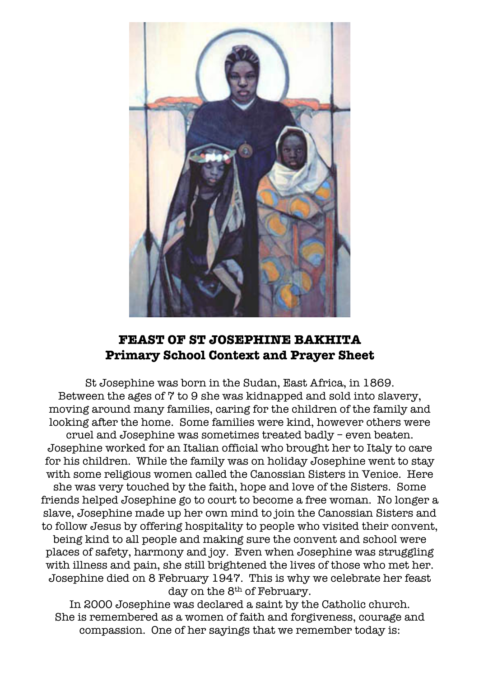

# **FEAST OF ST JOSEPHINE BAKHITA Primary School Context and Prayer Sheet**

St Josephine was born in the Sudan, East Africa, in 1869. Between the ages of 7 to 9 she was kidnapped and sold into slavery, moving around many families, caring for the children of the family and looking after the home. Some families were kind, however others were cruel and Josephine was sometimes treated badly – even beaten. Josephine worked for an Italian official who brought her to Italy to care for his children. While the family was on holiday Josephine went to stay with some religious women called the Canossian Sisters in Venice. Here she was very touched by the faith, hope and love of the Sisters. Some friends helped Josephine go to court to become a free woman. No longer a slave, Josephine made up her own mind to join the Canossian Sisters and to follow Jesus by offering hospitality to people who visited their convent, being kind to all people and making sure the convent and school were places of safety, harmony and joy. Even when Josephine was struggling with illness and pain, she still brightened the lives of those who met her. Josephine died on 8 February 1947. This is why we celebrate her feast day on the 8<sup>th</sup> of February.

In 2000 Josephine was declared a saint by the Catholic church. She is remembered as a women of faith and forgiveness, courage and compassion. One of her sayings that we remember today is: